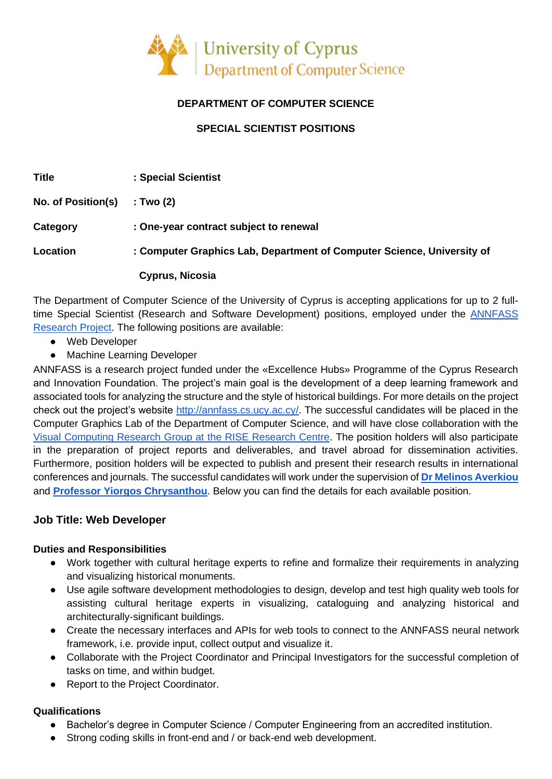

# **DEPARTMENT OF COMPUTER SCIENCE**

## **SPECIAL SCIENTIST POSITIONS**

| <b>Title</b>       | : Special Scientist                                                    |
|--------------------|------------------------------------------------------------------------|
| No. of Position(s) | : Two (2)                                                              |
| Category           | : One-year contract subject to renewal                                 |
| Location           | : Computer Graphics Lab, Department of Computer Science, University of |
|                    | Cyprus, Nicosia                                                        |

The Department of Computer Science of the University of Cyprus is accepting applications for up to 2 fulltime Special Scientist (Research and Software Development) positions, employed under the [ANNFASS](http://annfass.cs.ucy.ac.cy/) [Research Project.](http://annfass.cs.ucy.ac.cy/) The following positions are available:

- Web Developer
- Machine Learning Developer

ANNFASS is a research project funded under the «Excellence Hubs» Programme of the Cyprus Research and Innovation Foundation. The project's main goal is the development of a deep learning framework and associated tools for analyzing the structure and the style of historical buildings. For more details on the project check out the project's website [http://annfass.cs.ucy.ac.cy/.](http://annfass.cs.ucy.ac.cy/) The successful candidates will be placed in the Computer Graphics Lab of the Department of Computer Science, and will have close collaboration with the [Visual Computing Research Group at the RISE Research Centre.](http://www.rise.org.cy/en-gb/research/research-groups/visual-computing-group-vcg/) The position holders will also participate in the preparation of project reports and deliverables, and travel abroad for dissemination activities. Furthermore, position holders will be expected to publish and present their research results in international conferences and journals. The successful candidates will work under the supervision of **[Dr Melinos Averkiou](http://geometry.cs.ucl.ac.uk/averkiou/)** and **[Professor Yiorgos Chrysanthou](http://www.cs.ucy.ac.cy/~yiorgos/)**. Below you can find the details for each available position.

## **Job Title: Web Developer**

#### **Duties and Responsibilities**

- Work together with cultural heritage experts to refine and formalize their requirements in analyzing and visualizing historical monuments.
- Use agile software development methodologies to design, develop and test high quality web tools for assisting cultural heritage experts in visualizing, cataloguing and analyzing historical and architecturally-significant buildings.
- Create the necessary interfaces and APIs for web tools to connect to the ANNFASS neural network framework, i.e. provide input, collect output and visualize it.
- Collaborate with the Project Coordinator and Principal Investigators for the successful completion of tasks on time, and within budget.
- Report to the Project Coordinator.

#### **Qualifications**

- Bachelor's degree in Computer Science / Computer Engineering from an accredited institution.
- Strong coding skills in front-end and / or back-end web development.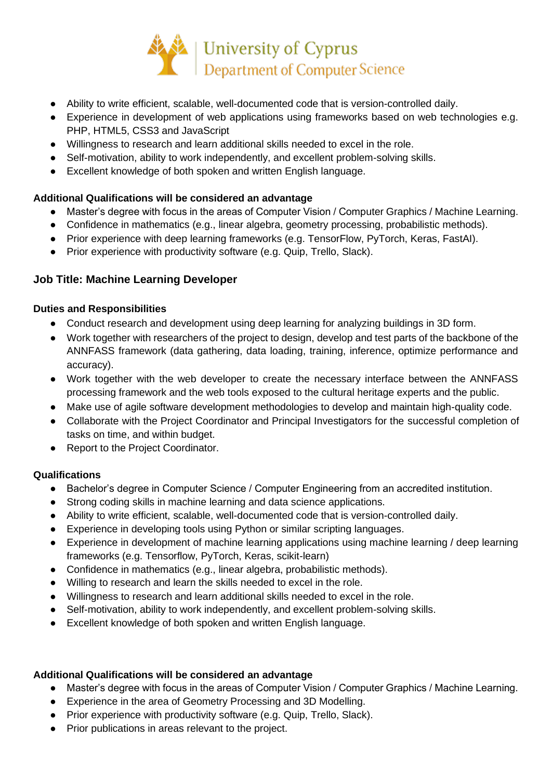

- Ability to write efficient, scalable, well-documented code that is version-controlled daily.
- Experience in development of web applications using frameworks based on web technologies e.g. PHP, HTML5, CSS3 and JavaScript
- Willingness to research and learn additional skills needed to excel in the role.
- Self-motivation, ability to work independently, and excellent problem-solving skills.
- Excellent knowledge of both spoken and written English language.

### **Additional Qualifications will be considered an advantage**

- Master's degree with focus in the areas of Computer Vision / Computer Graphics / Machine Learning.
- Confidence in mathematics (e.g., linear algebra, geometry processing, probabilistic methods).
- Prior experience with deep learning frameworks (e.g. TensorFlow, PyTorch, Keras, FastAI).
- Prior experience with productivity software (e.g. Quip, Trello, Slack).

## **Job Title: Machine Learning Developer**

#### **Duties and Responsibilities**

- Conduct research and development using deep learning for analyzing buildings in 3D form.
- Work together with researchers of the project to design, develop and test parts of the backbone of the ANNFASS framework (data gathering, data loading, training, inference, optimize performance and accuracy).
- Work together with the web developer to create the necessary interface between the ANNFASS processing framework and the web tools exposed to the cultural heritage experts and the public.
- Make use of agile software development methodologies to develop and maintain high-quality code.
- Collaborate with the Project Coordinator and Principal Investigators for the successful completion of tasks on time, and within budget.
- Report to the Project Coordinator.

#### **Qualifications**

- Bachelor's degree in Computer Science / Computer Engineering from an accredited institution.
- Strong coding skills in machine learning and data science applications.
- Ability to write efficient, scalable, well-documented code that is version-controlled daily.
- Experience in developing tools using Python or similar scripting languages.
- Experience in development of machine learning applications using machine learning / deep learning frameworks (e.g. Tensorflow, PyTorch, Keras, scikit-learn)
- Confidence in mathematics (e.g., linear algebra, probabilistic methods).
- Willing to research and learn the skills needed to excel in the role.
- Willingness to research and learn additional skills needed to excel in the role.
- Self-motivation, ability to work independently, and excellent problem-solving skills.
- Excellent knowledge of both spoken and written English language.

#### **Additional Qualifications will be considered an advantage**

- Master's degree with focus in the areas of Computer Vision / Computer Graphics / Machine Learning.
- Experience in the area of Geometry Processing and 3D Modelling.
- Prior experience with productivity software (e.g. Quip, Trello, Slack).
- Prior publications in areas relevant to the project.